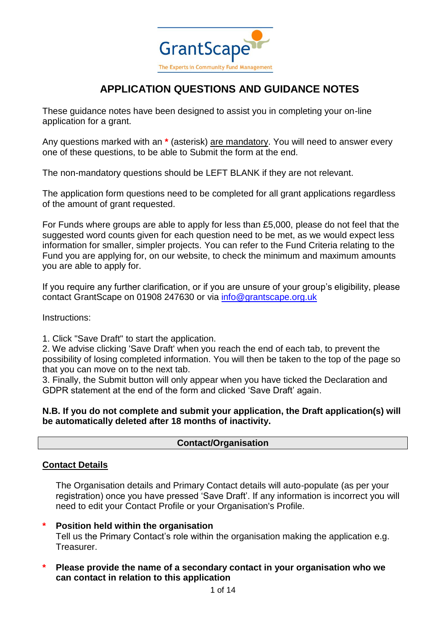

# **APPLICATION QUESTIONS AND GUIDANCE NOTES**

These guidance notes have been designed to assist you in completing your on-line application for a grant.

Any questions marked with an **\*** (asterisk) are mandatory. You will need to answer every one of these questions, to be able to Submit the form at the end.

The non-mandatory questions should be LEFT BLANK if they are not relevant.

The application form questions need to be completed for all grant applications regardless of the amount of grant requested.

For Funds where groups are able to apply for less than £5,000, please do not feel that the suggested word counts given for each question need to be met, as we would expect less information for smaller, simpler projects. You can refer to the Fund Criteria relating to the Fund you are applying for, on our website, to check the minimum and maximum amounts you are able to apply for.

If you require any further clarification, or if you are unsure of your group's eligibility, please contact GrantScape on 01908 247630 or via [info@grantscape.org.uk](mailto:info@grantscape.org.uk)

Instructions:

1. Click "Save Draft" to start the application.

2. We advise clicking 'Save Draft' when you reach the end of each tab, to prevent the possibility of losing completed information. You will then be taken to the top of the page so that you can move on to the next tab.

3. Finally, the Submit button will only appear when you have ticked the Declaration and GDPR statement at the end of the form and clicked 'Save Draft' again.

#### **N.B. If you do not complete and submit your application, the Draft application(s) will be automatically deleted after 18 months of inactivity.**

### **Contact/Organisation**

### **Contact Details**

The Organisation details and Primary Contact details will auto-populate (as per your registration) once you have pressed 'Save Draft'. If any information is incorrect you will need to edit your Contact Profile or your Organisation's Profile.

### **\* Position held within the organisation**

Tell us the Primary Contact's role within the organisation making the application e.g. Treasurer.

**\* Please provide the name of a secondary contact in your organisation who we can contact in relation to this application**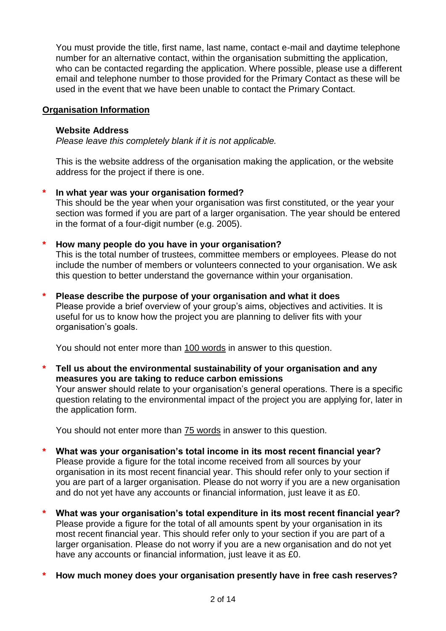You must provide the title, first name, last name, contact e-mail and daytime telephone number for an alternative contact, within the organisation submitting the application, who can be contacted regarding the application. Where possible, please use a different email and telephone number to those provided for the Primary Contact as these will be used in the event that we have been unable to contact the Primary Contact.

### **Organisation Information**

#### **Website Address**

*Please leave this completely blank if it is not applicable.*

This is the website address of the organisation making the application, or the website address for the project if there is one.

### **\* In what year was your organisation formed?**

This should be the year when your organisation was first constituted, or the year your section was formed if you are part of a larger organisation. The year should be entered in the format of a four-digit number (e.g. 2005).

### **\* How many people do you have in your organisation?**

This is the total number of trustees, committee members or employees. Please do not include the number of members or volunteers connected to your organisation. We ask this question to better understand the governance within your organisation.

### **\* Please describe the purpose of your organisation and what it does**

Please provide a brief overview of your group's aims, objectives and activities. It is useful for us to know how the project you are planning to deliver fits with your organisation's goals.

You should not enter more than 100 words in answer to this question.

# **\* Tell us about the environmental sustainability of your organisation and any measures you are taking to reduce carbon emissions**

Your answer should relate to your organisation's general operations. There is a specific question relating to the environmental impact of the project you are applying for, later in the application form.

You should not enter more than 75 words in answer to this question.

- **\* What was your organisation's total income in its most recent financial year?** Please provide a figure for the total income received from all sources by your organisation in its most recent financial year. This should refer only to your section if you are part of a larger organisation. Please do not worry if you are a new organisation and do not yet have any accounts or financial information, just leave it as £0.
- **\* What was your organisation's total expenditure in its most recent financial year?** Please provide a figure for the total of all amounts spent by your organisation in its most recent financial year. This should refer only to your section if you are part of a larger organisation. Please do not worry if you are a new organisation and do not yet have any accounts or financial information, just leave it as £0.
- **\* How much money does your organisation presently have in free cash reserves?**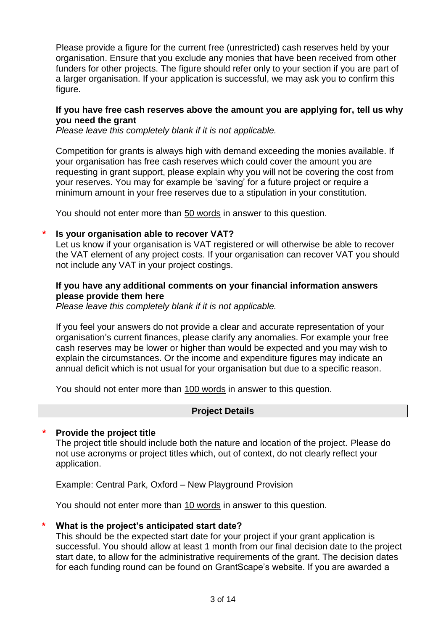Please provide a figure for the current free (unrestricted) cash reserves held by your organisation. Ensure that you exclude any monies that have been received from other funders for other projects. The figure should refer only to your section if you are part of a larger organisation. If your application is successful, we may ask you to confirm this figure.

### **If you have free cash reserves above the amount you are applying for, tell us why you need the grant**

*Please leave this completely blank if it is not applicable.*

Competition for grants is always high with demand exceeding the monies available. If your organisation has free cash reserves which could cover the amount you are requesting in grant support, please explain why you will not be covering the cost from your reserves. You may for example be 'saving' for a future project or require a minimum amount in your free reserves due to a stipulation in your constitution.

You should not enter more than 50 words in answer to this question.

### **\* Is your organisation able to recover VAT?**

Let us know if your organisation is VAT registered or will otherwise be able to recover the VAT element of any project costs. If your organisation can recover VAT you should not include any VAT in your project costings.

### **If you have any additional comments on your financial information answers please provide them here**

*Please leave this completely blank if it is not applicable.*

If you feel your answers do not provide a clear and accurate representation of your organisation's current finances, please clarify any anomalies. For example your free cash reserves may be lower or higher than would be expected and you may wish to explain the circumstances. Or the income and expenditure figures may indicate an annual deficit which is not usual for your organisation but due to a specific reason.

You should not enter more than 100 words in answer to this question.

### **Project Details**

### **\* Provide the project title**

The project title should include both the nature and location of the project. Please do not use acronyms or project titles which, out of context, do not clearly reflect your application.

Example: Central Park, Oxford – New Playground Provision

You should not enter more than 10 words in answer to this question.

### **\* What is the project's anticipated start date?**

This should be the expected start date for your project if your grant application is successful. You should allow at least 1 month from our final decision date to the project start date, to allow for the administrative requirements of the grant. The decision dates for each funding round can be found on GrantScape's website. If you are awarded a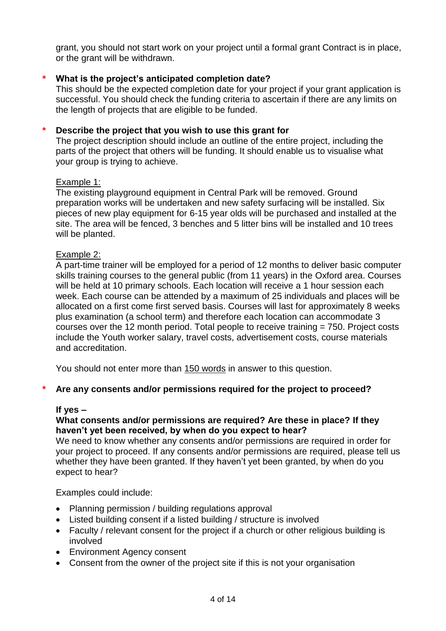grant, you should not start work on your project until a formal grant Contract is in place, or the grant will be withdrawn.

### **\* What is the project's anticipated completion date?**

This should be the expected completion date for your project if your grant application is successful. You should check the funding criteria to ascertain if there are any limits on the length of projects that are eligible to be funded.

#### **\* Describe the project that you wish to use this grant for**

The project description should include an outline of the entire project, including the parts of the project that others will be funding. It should enable us to visualise what your group is trying to achieve.

#### Example 1:

The existing playground equipment in Central Park will be removed. Ground preparation works will be undertaken and new safety surfacing will be installed. Six pieces of new play equipment for 6-15 year olds will be purchased and installed at the site. The area will be fenced, 3 benches and 5 litter bins will be installed and 10 trees will be planted.

#### Example 2:

A part-time trainer will be employed for a period of 12 months to deliver basic computer skills training courses to the general public (from 11 years) in the Oxford area. Courses will be held at 10 primary schools. Each location will receive a 1 hour session each week. Each course can be attended by a maximum of 25 individuals and places will be allocated on a first come first served basis. Courses will last for approximately 8 weeks plus examination (a school term) and therefore each location can accommodate 3 courses over the 12 month period. Total people to receive training = 750. Project costs include the Youth worker salary, travel costs, advertisement costs, course materials and accreditation.

You should not enter more than 150 words in answer to this question.

### **\* Are any consents and/or permissions required for the project to proceed?**

#### **If yes –**

### **What consents and/or permissions are required? Are these in place? If they haven't yet been received, by when do you expect to hear?**

We need to know whether any consents and/or permissions are required in order for your project to proceed. If any consents and/or permissions are required, please tell us whether they have been granted. If they haven't yet been granted, by when do you expect to hear?

Examples could include:

- Planning permission / building regulations approval
- Listed building consent if a listed building / structure is involved
- Faculty / relevant consent for the project if a church or other religious building is involved
- Environment Agency consent
- Consent from the owner of the project site if this is not your organisation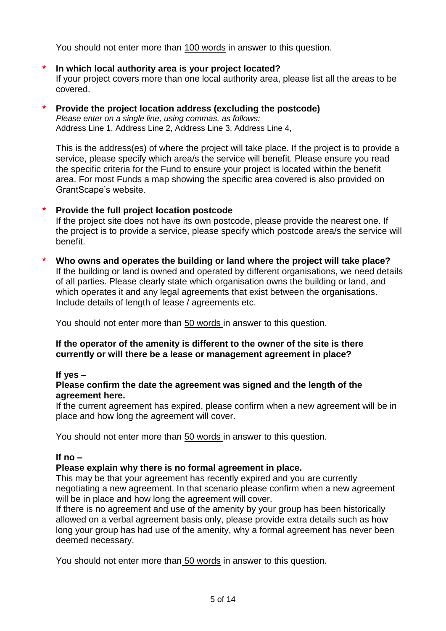You should not enter more than 100 words in answer to this question.

# **\* In which local authority area is your project located?**

If your project covers more than one local authority area, please list all the areas to be covered.

# **\* Provide the project location address (excluding the postcode)**

*Please enter on a single line, using commas, as follows:* Address Line 1, Address Line 2, Address Line 3, Address Line 4,

This is the address(es) of where the project will take place. If the project is to provide a service, please specify which area/s the service will benefit. Please ensure you read the specific criteria for the Fund to ensure your project is located within the benefit area. For most Funds a map showing the specific area covered is also provided on GrantScape's website.

### **\* Provide the full project location postcode**

If the project site does not have its own postcode, please provide the nearest one. If the project is to provide a service, please specify which postcode area/s the service will benefit.

**\* Who owns and operates the building or land where the project will take place?** If the building or land is owned and operated by different organisations, we need details of all parties. Please clearly state which organisation owns the building or land, and which operates it and any legal agreements that exist between the organisations. Include details of length of lease / agreements etc.

You should not enter more than 50 words in answer to this question.

# **If the operator of the amenity is different to the owner of the site is there currently or will there be a lease or management agreement in place?**

# **If yes –**

### **Please confirm the date the agreement was signed and the length of the agreement here.**

If the current agreement has expired, please confirm when a new agreement will be in place and how long the agreement will cover.

You should not enter more than 50 words in answer to this question.

### **If no –**

# **Please explain why there is no formal agreement in place.**

This may be that your agreement has recently expired and you are currently negotiating a new agreement. In that scenario please confirm when a new agreement will be in place and how long the agreement will cover.

If there is no agreement and use of the amenity by your group has been historically allowed on a verbal agreement basis only, please provide extra details such as how long your group has had use of the amenity, why a formal agreement has never been deemed necessary.

You should not enter more than 50 words in answer to this question.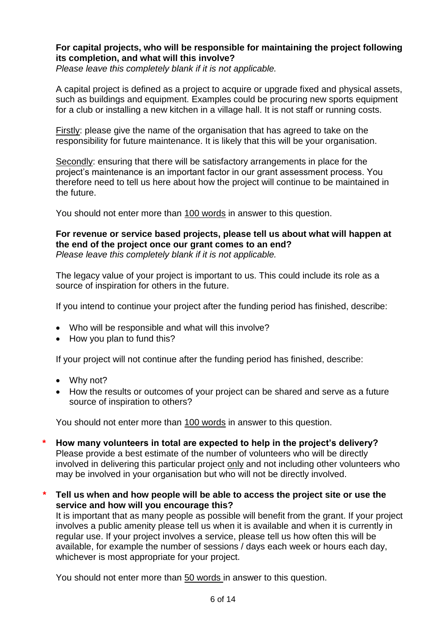### **For capital projects, who will be responsible for maintaining the project following its completion, and what will this involve?**

*Please leave this completely blank if it is not applicable.*

A capital project is defined as a project to acquire or upgrade fixed and physical assets, such as buildings and equipment. Examples could be procuring new sports equipment for a club or installing a new kitchen in a village hall. It is not staff or running costs.

Firstly: please give the name of the organisation that has agreed to take on the responsibility for future maintenance. It is likely that this will be your organisation.

Secondly: ensuring that there will be satisfactory arrangements in place for the project's maintenance is an important factor in our grant assessment process. You therefore need to tell us here about how the project will continue to be maintained in the future.

You should not enter more than 100 words in answer to this question.

#### **For revenue or service based projects, please tell us about what will happen at the end of the project once our grant comes to an end?** *Please leave this completely blank if it is not applicable.*

The legacy value of your project is important to us. This could include its role as a source of inspiration for others in the future.

If you intend to continue your project after the funding period has finished, describe:

- Who will be responsible and what will this involve?
- How you plan to fund this?

If your project will not continue after the funding period has finished, describe:

- Why not?
- How the results or outcomes of your project can be shared and serve as a future source of inspiration to others?

You should not enter more than 100 words in answer to this question.

- **\* How many volunteers in total are expected to help in the project's delivery?** Please provide a best estimate of the number of volunteers who will be directly involved in delivering this particular project only and not including other volunteers who may be involved in your organisation but who will not be directly involved.
- *\** **Tell us when and how people will be able to access the project site or use the service and how will you encourage this?**

It is important that as many people as possible will benefit from the grant. If your project involves a public amenity please tell us when it is available and when it is currently in regular use. If your project involves a service, please tell us how often this will be available, for example the number of sessions / days each week or hours each day, whichever is most appropriate for your project.

You should not enter more than 50 words in answer to this question.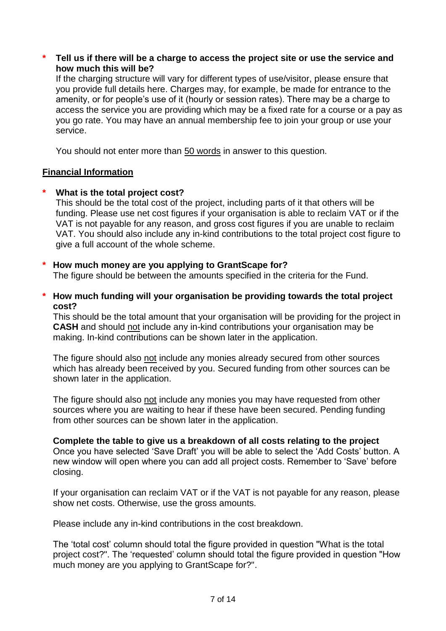**\* Tell us if there will be a charge to access the project site or use the service and how much this will be?**

If the charging structure will vary for different types of use/visitor, please ensure that you provide full details here. Charges may, for example, be made for entrance to the amenity, or for people's use of it (hourly or session rates). There may be a charge to access the service you are providing which may be a fixed rate for a course or a pay as you go rate. You may have an annual membership fee to join your group or use your service.

You should not enter more than 50 words in answer to this question.

### **Financial Information**

### **\* What is the total project cost?**

This should be the total cost of the project, including parts of it that others will be funding. Please use net cost figures if your organisation is able to reclaim VAT or if the VAT is not payable for any reason, and gross cost figures if you are unable to reclaim VAT. You should also include any in-kind contributions to the total project cost figure to give a full account of the whole scheme.

### **\* How much money are you applying to GrantScape for?**

The figure should be between the amounts specified in the criteria for the Fund.

**\* How much funding will your organisation be providing towards the total project cost?**

This should be the total amount that your organisation will be providing for the project in **CASH** and should not include any in-kind contributions your organisation may be making. In-kind contributions can be shown later in the application.

The figure should also not include any monies already secured from other sources which has already been received by you. Secured funding from other sources can be shown later in the application.

The figure should also not include any monies you may have requested from other sources where you are waiting to hear if these have been secured. Pending funding from other sources can be shown later in the application.

### **Complete the table to give us a breakdown of all costs relating to the project**

Once you have selected 'Save Draft' you will be able to select the 'Add Costs' button. A new window will open where you can add all project costs. Remember to 'Save' before closing.

If your organisation can reclaim VAT or if the VAT is not payable for any reason, please show net costs. Otherwise, use the gross amounts.

Please include any in-kind contributions in the cost breakdown.

The 'total cost' column should total the figure provided in question "What is the total project cost?". The 'requested' column should total the figure provided in question "How much money are you applying to GrantScape for?".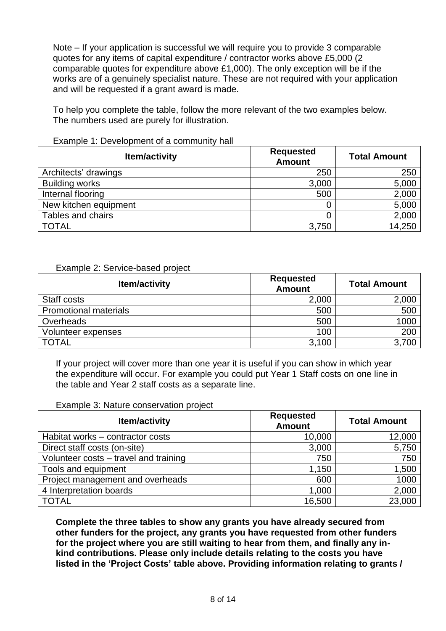Note – If your application is successful we will require you to provide 3 comparable quotes for any items of capital expenditure / contractor works above £5,000 (2 comparable quotes for expenditure above £1,000). The only exception will be if the works are of a genuinely specialist nature. These are not required with your application and will be requested if a grant award is made.

To help you complete the table, follow the more relevant of the two examples below. The numbers used are purely for illustration.

| <b>Item/activity</b>  | <b>Requested</b><br><b>Amount</b> | <b>Total Amount</b> |
|-----------------------|-----------------------------------|---------------------|
| Architects' drawings  | 250                               | 250                 |
| <b>Building works</b> | 3,000                             | 5,000               |
| Internal flooring     | 500                               | 2,000               |
| New kitchen equipment |                                   | 5,000               |
| Tables and chairs     |                                   | 2,000               |
| <b>TOTAL</b>          | 3,750                             | 14,250              |

#### Example 1: Development of a community hall

#### Example 2: Service-based project

| <b>Item/activity</b>         | <b>Requested</b><br><b>Amount</b> | <b>Total Amount</b> |
|------------------------------|-----------------------------------|---------------------|
| Staff costs                  | 2,000                             | 2,000               |
| <b>Promotional materials</b> | 500                               | 500                 |
| Overheads                    | 500                               | 1000                |
| Volunteer expenses           | 100                               | 200                 |
| <b>TOTAL</b>                 | 3,100                             | 3,700               |

If your project will cover more than one year it is useful if you can show in which year the expenditure will occur. For example you could put Year 1 Staff costs on one line in the table and Year 2 staff costs as a separate line.

#### Example 3: Nature conservation project

| <b>Item/activity</b>                  | <b>Requested</b><br><b>Amount</b> | <b>Total Amount</b> |
|---------------------------------------|-----------------------------------|---------------------|
| Habitat works - contractor costs      | 10,000                            | 12,000              |
| Direct staff costs (on-site)          | 3,000                             | 5,750               |
| Volunteer costs - travel and training | 750                               | 750                 |
| Tools and equipment                   | 1,150                             | 1,500               |
| Project management and overheads      | 600                               | 1000                |
| 4 Interpretation boards               | 1,000                             | 2,000               |
| <b>TOTAL</b>                          | 16,500                            | 23,000              |

**Complete the three tables to show any grants you have already secured from other funders for the project, any grants you have requested from other funders for the project where you are still waiting to hear from them, and finally any inkind contributions. Please only include details relating to the costs you have listed in the 'Project Costs' table above. Providing information relating to grants /**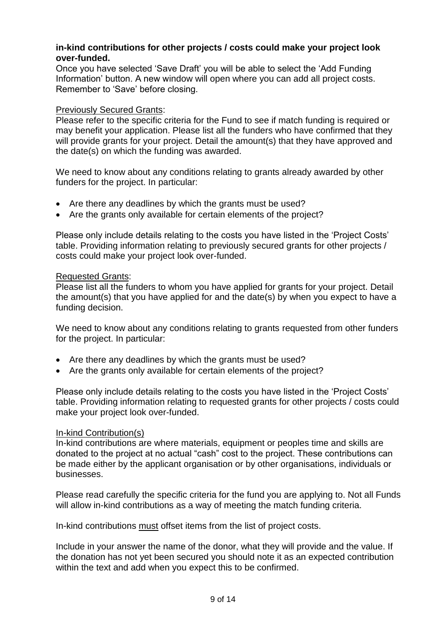### **in-kind contributions for other projects / costs could make your project look over-funded.**

Once you have selected 'Save Draft' you will be able to select the 'Add Funding Information' button. A new window will open where you can add all project costs. Remember to 'Save' before closing.

### Previously Secured Grants:

Please refer to the specific criteria for the Fund to see if match funding is required or may benefit your application. Please list all the funders who have confirmed that they will provide grants for your project. Detail the amount(s) that they have approved and the date(s) on which the funding was awarded.

We need to know about any conditions relating to grants already awarded by other funders for the project. In particular:

- Are there any deadlines by which the grants must be used?
- Are the grants only available for certain elements of the project?

Please only include details relating to the costs you have listed in the 'Project Costs' table. Providing information relating to previously secured grants for other projects / costs could make your project look over-funded.

### Requested Grants:

Please list all the funders to whom you have applied for grants for your project. Detail the amount(s) that you have applied for and the date(s) by when you expect to have a funding decision.

We need to know about any conditions relating to grants requested from other funders for the project. In particular:

- Are there any deadlines by which the grants must be used?
- Are the grants only available for certain elements of the project?

Please only include details relating to the costs you have listed in the 'Project Costs' table. Providing information relating to requested grants for other projects / costs could make your project look over-funded.

### In-kind Contribution(s)

In-kind contributions are where materials, equipment or peoples time and skills are donated to the project at no actual "cash" cost to the project. These contributions can be made either by the applicant organisation or by other organisations, individuals or businesses.

Please read carefully the specific criteria for the fund you are applying to. Not all Funds will allow in-kind contributions as a way of meeting the match funding criteria.

In-kind contributions must offset items from the list of project costs.

Include in your answer the name of the donor, what they will provide and the value. If the donation has not yet been secured you should note it as an expected contribution within the text and add when you expect this to be confirmed.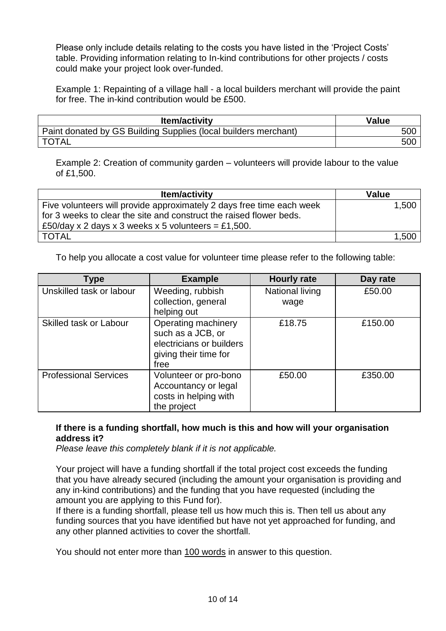Please only include details relating to the costs you have listed in the 'Project Costs' table. Providing information relating to In-kind contributions for other projects / costs could make your project look over-funded.

Example 1: Repainting of a village hall - a local builders merchant will provide the paint for free. The in-kind contribution would be £500.

| <b>Item/activity</b>                                            | Value |
|-----------------------------------------------------------------|-------|
| Paint donated by GS Building Supplies (local builders merchant) | 500   |
| <b>TOTAL</b>                                                    | 500   |

Example 2: Creation of community garden – volunteers will provide labour to the value of £1,500.

| <b>Item/activity</b>                                                  | <b>Value</b> |
|-----------------------------------------------------------------------|--------------|
| Five volunteers will provide approximately 2 days free time each week | 1.500        |
| for 3 weeks to clear the site and construct the raised flower beds.   |              |
| £50/day x 2 days x 3 weeks x 5 volunteers = £1,500.                   |              |
| <b>TOTAL</b>                                                          | 1,500        |

To help you allocate a cost value for volunteer time please refer to the following table:

| Type                         | <b>Example</b>                                                                                        | <b>Hourly rate</b>             | Day rate |
|------------------------------|-------------------------------------------------------------------------------------------------------|--------------------------------|----------|
| Unskilled task or labour     | Weeding, rubbish<br>collection, general<br>helping out                                                | <b>National living</b><br>wage | £50.00   |
| Skilled task or Labour       | Operating machinery<br>such as a JCB, or<br>electricians or builders<br>giving their time for<br>free | £18.75                         | £150.00  |
| <b>Professional Services</b> | Volunteer or pro-bono<br>Accountancy or legal<br>costs in helping with<br>the project                 | £50.00                         | £350.00  |

# **If there is a funding shortfall, how much is this and how will your organisation address it?**

*Please leave this completely blank if it is not applicable.*

Your project will have a funding shortfall if the total project cost exceeds the funding that you have already secured (including the amount your organisation is providing and any in-kind contributions) and the funding that you have requested (including the amount you are applying to this Fund for).

If there is a funding shortfall, please tell us how much this is. Then tell us about any funding sources that you have identified but have not yet approached for funding, and any other planned activities to cover the shortfall.

You should not enter more than 100 words in answer to this question.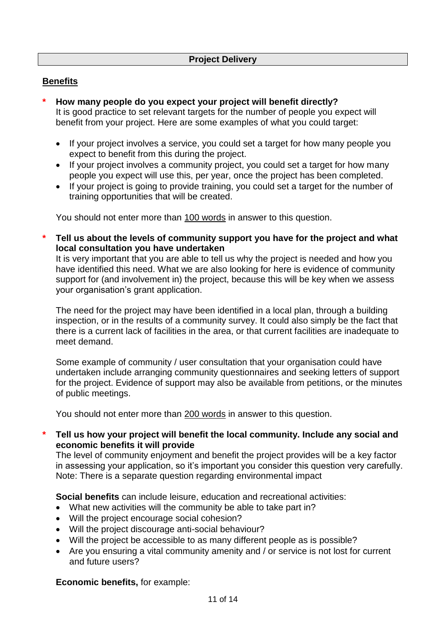### **Benefits**

- **\* How many people do you expect your project will benefit directly?** It is good practice to set relevant targets for the number of people you expect will benefit from your project. Here are some examples of what you could target:
	- If your project involves a service, you could set a target for how many people you expect to benefit from this during the project.
	- If your project involves a community project, you could set a target for how many people you expect will use this, per year, once the project has been completed.
	- If your project is going to provide training, you could set a target for the number of training opportunities that will be created.

You should not enter more than 100 words in answer to this question.

**\* Tell us about the levels of community support you have for the project and what local consultation you have undertaken**

It is very important that you are able to tell us why the project is needed and how you have identified this need. What we are also looking for here is evidence of community support for (and involvement in) the project, because this will be key when we assess your organisation's grant application.

The need for the project may have been identified in a local plan, through a building inspection, or in the results of a community survey. It could also simply be the fact that there is a current lack of facilities in the area, or that current facilities are inadequate to meet demand.

Some example of community / user consultation that your organisation could have undertaken include arranging community questionnaires and seeking letters of support for the project. Evidence of support may also be available from petitions, or the minutes of public meetings.

You should not enter more than 200 words in answer to this question.

**\* Tell us how your project will benefit the local community. Include any social and economic benefits it will provide**

The level of community enjoyment and benefit the project provides will be a key factor in assessing your application, so it's important you consider this question very carefully. Note: There is a separate question regarding environmental impact

**Social benefits** can include leisure, education and recreational activities:

- What new activities will the community be able to take part in?
- Will the project encourage social cohesion?
- Will the project discourage anti-social behaviour?
- Will the project be accessible to as many different people as is possible?
- Are you ensuring a vital community amenity and / or service is not lost for current and future users?

### **Economic benefits,** for example: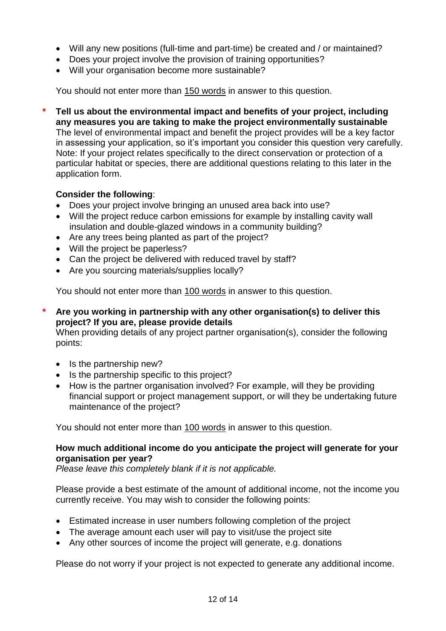- Will any new positions (full-time and part-time) be created and / or maintained?
- Does your project involve the provision of training opportunities?
- Will your organisation become more sustainable?

You should not enter more than 150 words in answer to this question.

**\* Tell us about the environmental impact and benefits of your project, including any measures you are taking to make the project environmentally sustainable** The level of environmental impact and benefit the project provides will be a key factor in assessing your application, so it's important you consider this question very carefully. Note: If your project relates specifically to the direct conservation or protection of a particular habitat or species, there are additional questions relating to this later in the application form.

# **Consider the following**:

- Does your project involve bringing an unused area back into use?
- Will the project reduce carbon emissions for example by installing cavity wall insulation and double-glazed windows in a community building?
- Are any trees being planted as part of the project?
- Will the project be paperless?
- Can the project be delivered with reduced travel by staff?
- Are you sourcing materials/supplies locally?

You should not enter more than 100 words in answer to this question.

**\* Are you working in partnership with any other organisation(s) to deliver this project? If you are, please provide details**

When providing details of any project partner organisation(s), consider the following points:

- $\bullet$  Is the partnership new?
- Is the partnership specific to this project?
- How is the partner organisation involved? For example, will they be providing financial support or project management support, or will they be undertaking future maintenance of the project?

You should not enter more than 100 words in answer to this question.

### **How much additional income do you anticipate the project will generate for your organisation per year?**

*Please leave this completely blank if it is not applicable.*

Please provide a best estimate of the amount of additional income, not the income you currently receive. You may wish to consider the following points:

- Estimated increase in user numbers following completion of the project
- The average amount each user will pay to visit/use the project site
- Any other sources of income the project will generate, e.g. donations

Please do not worry if your project is not expected to generate any additional income.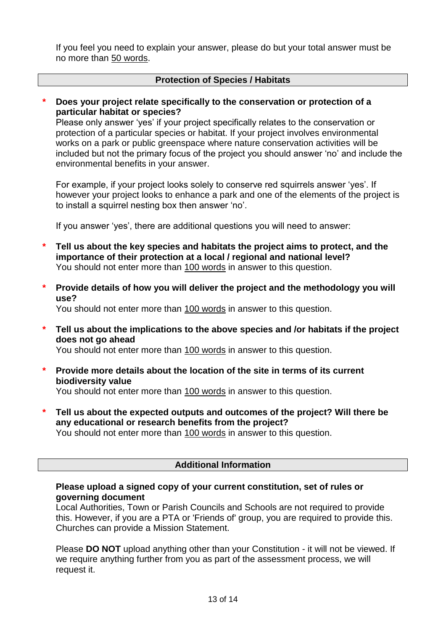If you feel you need to explain your answer, please do but your total answer must be no more than 50 words.

#### **Protection of Species / Habitats**

#### **\* Does your project relate specifically to the conservation or protection of a particular habitat or species?**

Please only answer 'yes' if your project specifically relates to the conservation or protection of a particular species or habitat. If your project involves environmental works on a park or public greenspace where nature conservation activities will be included but not the primary focus of the project you should answer 'no' and include the environmental benefits in your answer.

For example, if your project looks solely to conserve red squirrels answer 'yes'. If however your project looks to enhance a park and one of the elements of the project is to install a squirrel nesting box then answer 'no'.

If you answer 'yes', there are additional questions you will need to answer:

- **\* Tell us about the key species and habitats the project aims to protect, and the importance of their protection at a local / regional and national level?** You should not enter more than 100 words in answer to this question.
- **\* Provide details of how you will deliver the project and the methodology you will use?**

You should not enter more than 100 words in answer to this question.

**\* Tell us about the implications to the above species and /or habitats if the project does not go ahead**

You should not enter more than 100 words in answer to this question.

- **\* Provide more details about the location of the site in terms of its current biodiversity value** You should not enter more than 100 words in answer to this question.
- **\* Tell us about the expected outputs and outcomes of the project? Will there be any educational or research benefits from the project?**

You should not enter more than 100 words in answer to this question.

### **Additional Information**

### **Please upload a signed copy of your current constitution, set of rules or governing document**

Local Authorities, Town or Parish Councils and Schools are not required to provide this. However, if you are a PTA or 'Friends of' group, you are required to provide this. Churches can provide a Mission Statement.

Please **DO NOT** upload anything other than your Constitution - it will not be viewed. If we require anything further from you as part of the assessment process, we will request it.